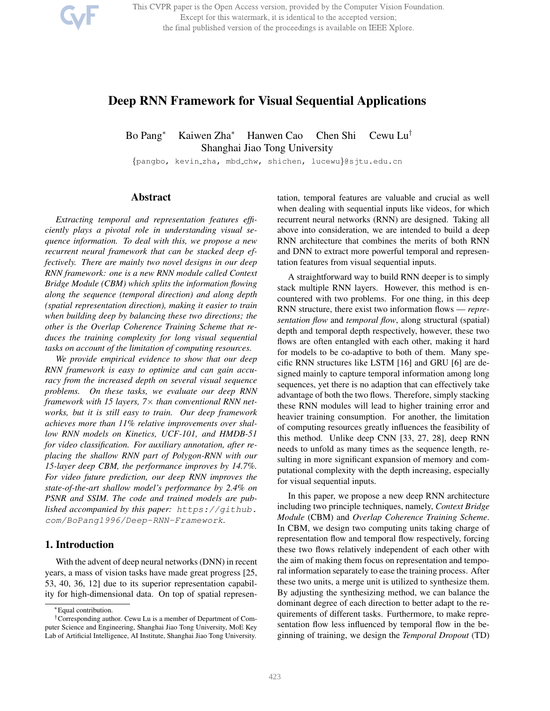This CVPR paper is the Open Access version, provided by the Computer Vision Foundation. Except for this watermark, it is identical to the accepted version; the final published version of the proceedings is available on IEEE Xplore.

# Deep RNN Framework for Visual Sequential Applications

Bo Pang<sup>∗</sup> Kaiwen Zha<sup>∗</sup> Hanwen Cao Chen Shi Cewu Lu† Shanghai Jiao Tong University

{pangbo, kevin zha, mbd chw, shichen, lucewu}@sjtu.edu.cn

# Abstract

*Extracting temporal and representation features efficiently plays a pivotal role in understanding visual sequence information. To deal with this, we propose a new recurrent neural framework that can be stacked deep effectively. There are mainly two novel designs in our deep RNN framework: one is a new RNN module called Context Bridge Module (CBM) which splits the information flowing along the sequence (temporal direction) and along depth (spatial representation direction), making it easier to train when building deep by balancing these two directions; the other is the Overlap Coherence Training Scheme that reduces the training complexity for long visual sequential tasks on account of the limitation of computing resources.*

*We provide empirical evidence to show that our deep RNN framework is easy to optimize and can gain accuracy from the increased depth on several visual sequence problems. On these tasks, we evaluate our deep RNN framework with 15 layers, 7*× *than conventional RNN networks, but it is still easy to train. Our deep framework achieves more than 11% relative improvements over shallow RNN models on Kinetics, UCF-101, and HMDB-51 for video classification. For auxiliary annotation, after replacing the shallow RNN part of Polygon-RNN with our 15-layer deep CBM, the performance improves by 14.7%. For video future prediction, our deep RNN improves the state-of-the-art shallow model's performance by 2.4% on PSNR and SSIM. The code and trained models are published accompanied by this paper: https://github. com/BoPang1996/Deep-RNN-Framework.*

#### 1. Introduction

With the advent of deep neural networks (DNN) in recent years, a mass of vision tasks have made great progress [25, 53, 40, 36, 12] due to its superior representation capability for high-dimensional data. On top of spatial representation, temporal features are valuable and crucial as well when dealing with sequential inputs like videos, for which recurrent neural networks (RNN) are designed. Taking all above into consideration, we are intended to build a deep RNN architecture that combines the merits of both RNN and DNN to extract more powerful temporal and representation features from visual sequential inputs.

A straightforward way to build RNN deeper is to simply stack multiple RNN layers. However, this method is encountered with two problems. For one thing, in this deep RNN structure, there exist two information flows — *representation flow* and *temporal flow*, along structural (spatial) depth and temporal depth respectively, however, these two flows are often entangled with each other, making it hard for models to be co-adaptive to both of them. Many specific RNN structures like LSTM [16] and GRU [6] are designed mainly to capture temporal information among long sequences, yet there is no adaption that can effectively take advantage of both the two flows. Therefore, simply stacking these RNN modules will lead to higher training error and heavier training consumption. For another, the limitation of computing resources greatly influences the feasibility of this method. Unlike deep CNN [33, 27, 28], deep RNN needs to unfold as many times as the sequence length, resulting in more significant expansion of memory and computational complexity with the depth increasing, especially for visual sequential inputs.

In this paper, we propose a new deep RNN architecture including two principle techniques, namely, *Context Bridge Module* (CBM) and *Overlap Coherence Training Scheme*. In CBM, we design two computing units taking charge of representation flow and temporal flow respectively, forcing these two flows relatively independent of each other with the aim of making them focus on representation and temporal information separately to ease the training process. After these two units, a merge unit is utilized to synthesize them. By adjusting the synthesizing method, we can balance the dominant degree of each direction to better adapt to the requirements of different tasks. Furthermore, to make representation flow less influenced by temporal flow in the beginning of training, we design the *Temporal Dropout* (TD)

<sup>∗</sup>Equal contribution.

<sup>†</sup>Corresponding author. Cewu Lu is a member of Department of Computer Science and Engineering, Shanghai Jiao Tong University, MoE Key Lab of Artificial Intelligence, AI Institute, Shanghai Jiao Tong University.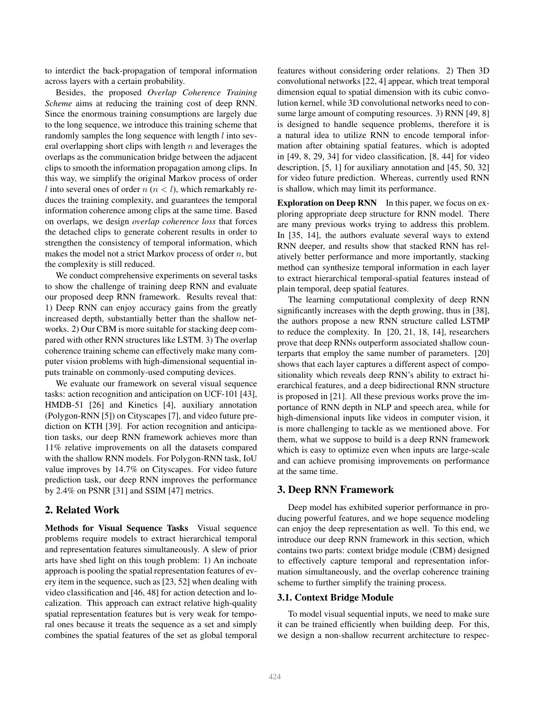to interdict the back-propagation of temporal information across layers with a certain probability.

Besides, the proposed *Overlap Coherence Training Scheme* aims at reducing the training cost of deep RNN. Since the enormous training consumptions are largely due to the long sequence, we introduce this training scheme that randomly samples the long sequence with length *l* into several overlapping short clips with length  $n$  and leverages the overlaps as the communication bridge between the adjacent clips to smooth the information propagation among clips. In this way, we simplify the original Markov process of order l into several ones of order  $n (n < l)$ , which remarkably reduces the training complexity, and guarantees the temporal information coherence among clips at the same time. Based on overlaps, we design *overlap coherence loss* that forces the detached clips to generate coherent results in order to strengthen the consistency of temporal information, which makes the model not a strict Markov process of order  $n$ , but the complexity is still reduced.

We conduct comprehensive experiments on several tasks to show the challenge of training deep RNN and evaluate our proposed deep RNN framework. Results reveal that: 1) Deep RNN can enjoy accuracy gains from the greatly increased depth, substantially better than the shallow networks. 2) Our CBM is more suitable for stacking deep compared with other RNN structures like LSTM. 3) The overlap coherence training scheme can effectively make many computer vision problems with high-dimensional sequential inputs trainable on commonly-used computing devices.

We evaluate our framework on several visual sequence tasks: action recognition and anticipation on UCF-101 [43], HMDB-51 [26] and Kinetics [4], auxiliary annotation (Polygon-RNN [5]) on Cityscapes [7], and video future prediction on KTH [39]. For action recognition and anticipation tasks, our deep RNN framework achieves more than 11% relative improvements on all the datasets compared with the shallow RNN models. For Polygon-RNN task, IoU value improves by 14.7% on Cityscapes. For video future prediction task, our deep RNN improves the performance by 2.4% on PSNR [31] and SSIM [47] metrics.

# 2. Related Work

Methods for Visual Sequence Tasks Visual sequence problems require models to extract hierarchical temporal and representation features simultaneously. A slew of prior arts have shed light on this tough problem: 1) An inchoate approach is pooling the spatial representation features of every item in the sequence, such as [23, 52] when dealing with video classification and [46, 48] for action detection and localization. This approach can extract relative high-quality spatial representation features but is very weak for temporal ones because it treats the sequence as a set and simply combines the spatial features of the set as global temporal features without considering order relations. 2) Then 3D convolutional networks [22, 4] appear, which treat temporal dimension equal to spatial dimension with its cubic convolution kernel, while 3D convolutional networks need to consume large amount of computing resources. 3) RNN [49, 8] is designed to handle sequence problems, therefore it is a natural idea to utilize RNN to encode temporal information after obtaining spatial features, which is adopted in [49, 8, 29, 34] for video classification, [8, 44] for video description, [5, 1] for auxiliary annotation and [45, 50, 32] for video future prediction. Whereas, currently used RNN is shallow, which may limit its performance.

Exploration on Deep RNN In this paper, we focus on exploring appropriate deep structure for RNN model. There are many previous works trying to address this problem. In [35, 14], the authors evaluate several ways to extend RNN deeper, and results show that stacked RNN has relatively better performance and more importantly, stacking method can synthesize temporal information in each layer to extract hierarchical temporal-spatial features instead of plain temporal, deep spatial features.

The learning computational complexity of deep RNN significantly increases with the depth growing, thus in [38], the authors propose a new RNN structure called LSTMP to reduce the complexity. In [20, 21, 18, 14], researchers prove that deep RNNs outperform associated shallow counterparts that employ the same number of parameters. [20] shows that each layer captures a different aspect of compositionality which reveals deep RNN's ability to extract hierarchical features, and a deep bidirectional RNN structure is proposed in [21]. All these previous works prove the importance of RNN depth in NLP and speech area, while for high-dimensional inputs like videos in computer vision, it is more challenging to tackle as we mentioned above. For them, what we suppose to build is a deep RNN framework which is easy to optimize even when inputs are large-scale and can achieve promising improvements on performance at the same time.

### 3. Deep RNN Framework

Deep model has exhibited superior performance in producing powerful features, and we hope sequence modeling can enjoy the deep representation as well. To this end, we introduce our deep RNN framework in this section, which contains two parts: context bridge module (CBM) designed to effectively capture temporal and representation information simultaneously, and the overlap coherence training scheme to further simplify the training process.

# 3.1. Context Bridge Module

To model visual sequential inputs, we need to make sure it can be trained efficiently when building deep. For this, we design a non-shallow recurrent architecture to respec-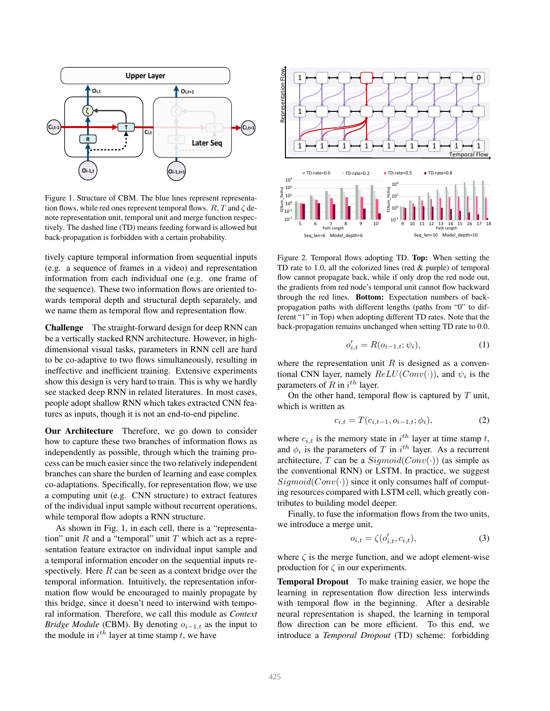

Figure 1. Structure of CBM. The blue lines represent representation flows, while red ones represent temporal flows.  $R, T$  and  $\zeta$  denote representation unit, temporal unit and merge function respectively. The dashed line (TD) means feeding forward is allowed but back-propagation is forbidden with a certain probability.

tively capture temporal information from sequential inputs (e.g. a sequence of frames in a video) and representation information from each individual one (e.g. one frame of the sequence). These two information flows are oriented towards temporal depth and structural depth separately, and we name them as temporal flow and representation flow.

Challenge The straight-forward design for deep RNN can be a vertically stacked RNN architecture. However, in highdimensional visual tasks, parameters in RNN cell are hard to be co-adaptive to two flows simultaneously, resulting in ineffective and inefficient training. Extensive experiments show this design is very hard to train. This is why we hardly see stacked deep RNN in related literatures. In most cases, people adopt shallow RNN which takes extracted CNN features as inputs, though it is not an end-to-end pipeline.

Our Architecture Therefore, we go down to consider how to capture these two branches of information flows as independently as possible, through which the training process can be much easier since the two relatively independent branches can share the burden of learning and ease complex co-adaptations. Specifically, for representation flow, we use a computing unit (e.g. CNN structure) to extract features of the individual input sample without recurrent operations, while temporal flow adopts a RNN structure.

As shown in Fig. 1, in each cell, there is a "representation" unit  $R$  and a "temporal" unit  $T$  which act as a representation feature extractor on individual input sample and a temporal information encoder on the sequential inputs respectively. Here  $R$  can be seen as a context bridge over the temporal information. Intuitively, the representation information flow would be encouraged to mainly propagate by this bridge, since it doesn't need to interwind with temporal information. Therefore, we call this module as *Context Bridge Module* (CBM). By denoting  $o_{i-1,t}$  as the input to the module in  $i^{th}$  layer at time stamp t, we have



Figure 2. Temporal flows adopting TD. Top: When setting the TD rate to 1.0, all the colorized lines (red & purple) of temporal flow cannot propagate back, while if only drop the red node out, the gradients from red node's temporal unit cannot flow backward through the red lines. Bottom: Expectation numbers of backpropagation paths with different lengths (paths from "0" to different "1" in Top) when adopting different TD rates. Note that the back-propagation remains unchanged when setting TD rate to 0.0.

$$
o'_{i,t} = R(o_{i-1,t}; \psi_i),
$$
 (1)

where the representation unit  $R$  is designed as a conventional CNN layer, namely  $ReLU(Conv(\cdot))$ , and  $\psi_i$  is the parameters of R in  $i^{th}$  layer.

On the other hand, temporal flow is captured by  $T$  unit, which is written as

$$
c_{i,t} = T(c_{i,t-1}, o_{i-1,t}; \phi_i), \tag{2}
$$

where  $c_{i,t}$  is the memory state in  $i^{th}$  layer at time stamp t, and  $\phi_i$  is the parameters of T in  $i^{th}$  layer. As a recurrent architecture, T can be a  $Sigmoid(Conv(\cdot))$  (as simple as the conventional RNN) or LSTM. In practice, we suggest  $Sigmoid(Conv(\cdot))$  since it only consumes half of computing resources compared with LSTM cell, which greatly contributes to building model deeper.

Finally, to fuse the information flows from the two units, we introduce a merge unit,

$$
o_{i,t} = \zeta(o'_{i,t}, c_{i,t}),\tag{3}
$$

where  $\zeta$  is the merge function, and we adopt element-wise production for  $\zeta$  in our experiments.

Temporal Dropout To make training easier, we hope the learning in representation flow direction less interwinds with temporal flow in the beginning. After a desirable neural representation is shaped, the learning in temporal flow direction can be more efficient. To this end, we introduce a *Temporal Dropout* (TD) scheme: forbidding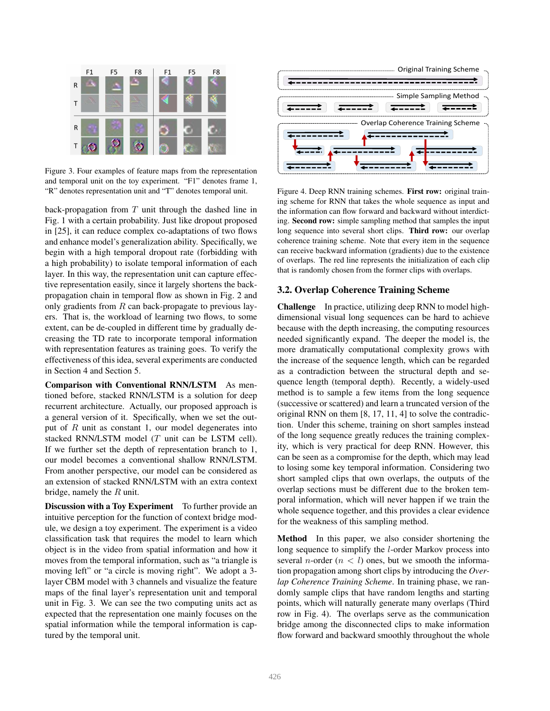

Figure 3. Four examples of feature maps from the representation and temporal unit on the toy experiment. "F1" denotes frame 1, "R" denotes representation unit and "T" denotes temporal unit.

back-propagation from  $T$  unit through the dashed line in Fig. 1 with a certain probability. Just like dropout proposed in [25], it can reduce complex co-adaptations of two flows and enhance model's generalization ability. Specifically, we begin with a high temporal dropout rate (forbidding with a high probability) to isolate temporal information of each layer. In this way, the representation unit can capture effective representation easily, since it largely shortens the backpropagation chain in temporal flow as shown in Fig. 2 and only gradients from  $R$  can back-propagate to previous layers. That is, the workload of learning two flows, to some extent, can be de-coupled in different time by gradually decreasing the TD rate to incorporate temporal information with representation features as training goes. To verify the effectiveness of this idea, several experiments are conducted in Section 4 and Section 5.

Comparison with Conventional RNN/LSTM As mentioned before, stacked RNN/LSTM is a solution for deep recurrent architecture. Actually, our proposed approach is a general version of it. Specifically, when we set the output of  $R$  unit as constant 1, our model degenerates into stacked RNN/LSTM model (T unit can be LSTM cell). If we further set the depth of representation branch to 1, our model becomes a conventional shallow RNN/LSTM. From another perspective, our model can be considered as an extension of stacked RNN/LSTM with an extra context bridge, namely the  $R$  unit.

**Discussion with a Toy Experiment** To further provide an intuitive perception for the function of context bridge module, we design a toy experiment. The experiment is a video classification task that requires the model to learn which object is in the video from spatial information and how it moves from the temporal information, such as "a triangle is moving left" or "a circle is moving right". We adopt a 3 layer CBM model with 3 channels and visualize the feature maps of the final layer's representation unit and temporal unit in Fig. 3. We can see the two computing units act as expected that the representation one mainly focuses on the spatial information while the temporal information is captured by the temporal unit.



Figure 4. Deep RNN training schemes. First row: original training scheme for RNN that takes the whole sequence as input and the information can flow forward and backward without interdicting. Second row: simple sampling method that samples the input long sequence into several short clips. Third row: our overlap coherence training scheme. Note that every item in the sequence can receive backward information (gradients) due to the existence of overlaps. The red line represents the initialization of each clip that is randomly chosen from the former clips with overlaps.

#### 3.2. Overlap Coherence Training Scheme

Challenge In practice, utilizing deep RNN to model highdimensional visual long sequences can be hard to achieve because with the depth increasing, the computing resources needed significantly expand. The deeper the model is, the more dramatically computational complexity grows with the increase of the sequence length, which can be regarded as a contradiction between the structural depth and sequence length (temporal depth). Recently, a widely-used method is to sample a few items from the long sequence (successive or scattered) and learn a truncated version of the original RNN on them [8, 17, 11, 4] to solve the contradiction. Under this scheme, training on short samples instead of the long sequence greatly reduces the training complexity, which is very practical for deep RNN. However, this can be seen as a compromise for the depth, which may lead to losing some key temporal information. Considering two short sampled clips that own overlaps, the outputs of the overlap sections must be different due to the broken temporal information, which will never happen if we train the whole sequence together, and this provides a clear evidence for the weakness of this sampling method.

Method In this paper, we also consider shortening the long sequence to simplify the l-order Markov process into several *n*-order  $(n < l)$  ones, but we smooth the information propagation among short clips by introducing the *Overlap Coherence Training Scheme*. In training phase, we randomly sample clips that have random lengths and starting points, which will naturally generate many overlaps (Third row in Fig. 4). The overlaps serve as the communication bridge among the disconnected clips to make information flow forward and backward smoothly throughout the whole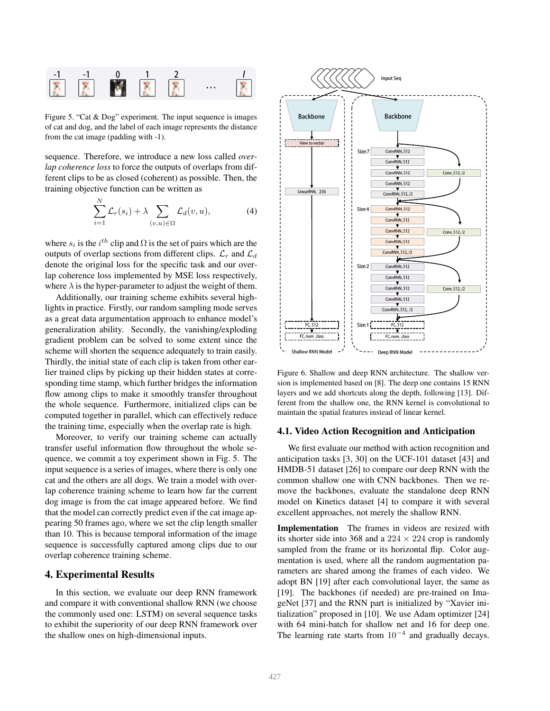

Figure 5. Cat  $\alpha$  Dog  $\beta$  experiment. The input sequence is mages of cat and dog, and the label of each image represents the distance Figure 5. "Cat & Dog" experiment. The input sequence is images from the cat image (padding with -1).

sequence. Therefore, we introduce a new loss called *overlap coherence loss* to force the outputs of overlaps from different clips to be as closed (coherent) as possible. Then, the training objective function can be written as

$$
\sum_{i=1}^{N} \mathcal{L}_r(s_i) + \lambda \sum_{(v,u) \in \Omega} \mathcal{L}_d(v, u), \tag{4}
$$

where  $s_i$  is the  $i^{th}$  clip and  $\Omega$  is the set of pairs which are the outputs of overlap sections from different clips.  $\mathcal{L}_r$  and  $\mathcal{L}_d$ denote the original loss for the specific task and our overlap coherence loss implemented by MSE loss respectively, where  $\lambda$  is the hyper-parameter to adjust the weight of them.

Additionally, our training scheme exhibits several highlights in practice. Firstly, our random sampling mode serves as a great data argumentation approach to enhance model's generalization ability. Secondly, the vanishing/exploding gradient problem can be solved to some extent since the scheme will shorten the sequence adequately to train easily. Thirdly, the initial state of each clip is taken from other earlier trained clips by picking up their hidden states at corresponding time stamp, which further bridges the information flow among clips to make it smoothly transfer throughout the whole sequence. Furthermore, initialized clips can be computed together in parallel, which can effectively reduce the training time, especially when the overlap rate is high.

Moreover, to verify our training scheme can actually transfer useful information flow throughout the whole sequence, we commit a toy experiment shown in Fig. 5. The input sequence is a series of images, where there is only one cat and the others are all dogs. We train a model with overlap coherence training scheme to learn how far the current dog image is from the cat image appeared before. We find that the model can correctly predict even if the cat image appearing 50 frames ago, where we set the clip length smaller than 10. This is because temporal information of the image sequence is successfully captured among clips due to our overlap coherence training scheme.

# 4. Experimental Results

In this section, we evaluate our deep RNN framework and compare it with conventional shallow RNN (we choose the commonly used one: LSTM) on several sequence tasks to exhibit the superiority of our deep RNN framework over the shallow ones on high-dimensional inputs.



Figure 6. Shallow and deep RNN architecture. The shallow version is implemented based on [8]. The deep one contains 15 RNN layers and we add shortcuts along the depth, following [13]. Different from the shallow one, the RNN kernel is convolutional to maintain the spatial features instead of linear kernel.

#### 4.1. Video Action Recognition and Anticipation

We first evaluate our method with action recognition and anticipation tasks [3, 30] on the UCF-101 dataset [43] and HMDB-51 dataset [26] to compare our deep RNN with the common shallow one with CNN backbones. Then we remove the backbones, evaluate the standalone deep RNN model on Kinetics dataset [4] to compare it with several excellent approaches, not merely the shallow RNN.

Implementation The frames in videos are resized with its shorter side into 368 and a  $224 \times 224$  crop is randomly sampled from the frame or its horizontal flip. Color augmentation is used, where all the random augmentation parameters are shared among the frames of each video. We adopt BN [19] after each convolutional layer, the same as [19]. The backbones (if needed) are pre-trained on ImageNet [37] and the RNN part is initialized by "Xavier initialization" proposed in [10]. We use Adam optimizer [24] with 64 mini-batch for shallow net and 16 for deep one. The learning rate starts from  $10^{-4}$  and gradually decays.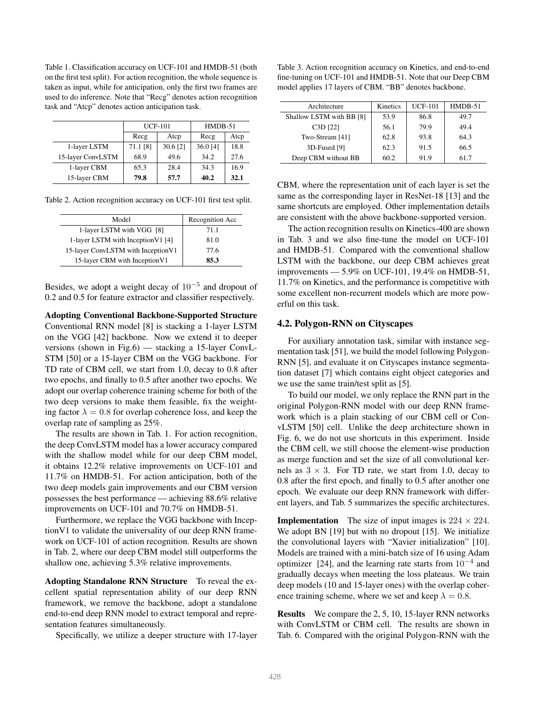Table 1. Classification accuracy on UCF-101 and HMDB-51 (both on the first test split). For action recognition, the whole sequence is taken as input, while for anticipation, only the first two frames are used to do inference. Note that "Recg" denotes action recognition task and "Atcp" denotes action anticipation task.

|                   |          | <b>UCF-101</b> | $HMDB-51$ |      |  |
|-------------------|----------|----------------|-----------|------|--|
|                   | Recg     | Atcp           | Recg      | Atcp |  |
| 1-layer LSTM      | 71.1 [8] | 30.6 [2]       | 36.0 [4]  | 18.8 |  |
| 15-layer ConvLSTM | 68.9     | 49.6           | 34.2      | 27.6 |  |
| 1-layer CBM       | 65.3     | 28.4           | 34.3      | 16.9 |  |
| 15-layer CBM      | 79.8     | 57.7           | 40.2      | 32.1 |  |

Table 2. Action recognition accuracy on UCF-101 first test split.

| Model                              | Recognition Acc |
|------------------------------------|-----------------|
| 1-layer LSTM with VGG [8]          | 71.1            |
| 1-layer LSTM with Inception V1 [4] | 81.0            |
| 15-layer ConvLSTM with InceptionV1 | 77.6            |
| 15-layer CBM with Inception V1     | 85.3            |

Besides, we adopt a weight decay of  $10^{-5}$  and dropout of 0.2 and 0.5 for feature extractor and classifier respectively.

Adopting Conventional Backbone-Supported Structure Conventional RNN model [8] is stacking a 1-layer LSTM on the VGG [42] backbone. Now we extend it to deeper versions (shown in Fig.6) — stacking a 15-layer ConvL-STM [50] or a 15-layer CBM on the VGG backbone. For TD rate of CBM cell, we start from 1.0, decay to 0.8 after two epochs, and finally to 0.5 after another two epochs. We adopt our overlap coherence training scheme for both of the two deep versions to make them feasible, fix the weighting factor  $\lambda = 0.8$  for overlap coherence loss, and keep the overlap rate of sampling as 25%.

The results are shown in Tab. 1. For action recognition, the deep ConvLSTM model has a lower accuracy compared with the shallow model while for our deep CBM model, it obtains 12.2% relative improvements on UCF-101 and 11.7% on HMDB-51. For action anticipation, both of the two deep models gain improvements and our CBM version possesses the best performance — achieving 88.6% relative improvements on UCF-101 and 70.7% on HMDB-51.

Furthermore, we replace the VGG backbone with InceptionV1 to validate the universality of our deep RNN framework on UCF-101 of action recognition. Results are shown in Tab. 2, where our deep CBM model still outperforms the shallow one, achieving 5.3% relative improvements.

Adopting Standalone RNN Structure To reveal the excellent spatial representation ability of our deep RNN framework, we remove the backbone, adopt a standalone end-to-end deep RNN model to extract temporal and representation features simultaneously.

Specifically, we utilize a deeper structure with 17-layer

Table 3. Action recognition accuracy on Kinetics, and end-to-end fine-tuning on UCF-101 and HMDB-51. Note that our Deep CBM model applies 17 layers of CBM. "BB" denotes backbone.

| Architecture             | Kinetics | <b>UCF-101</b> | $HMDB-51$ |
|--------------------------|----------|----------------|-----------|
| Shallow LSTM with BB [8] | 53.9     | 86.8           | 49.7      |
| C3D [22]                 | 56.1     | 79.9           | 49.4      |
| Two-Stream [41]          | 62.8     | 93.8           | 64.3      |
| 3D-Fused [9]             | 62.3     | 91.5           | 66.5      |
| Deep CBM without BB      | 60.2     | 91.9           | 61.7      |

CBM, where the representation unit of each layer is set the same as the corresponding layer in ResNet-18 [13] and the same shortcuts are employed. Other implementation details are consistent with the above backbone-supported version.

The action recognition results on Kinetics-400 are shown in Tab. 3 and we also fine-tune the model on UCF-101 and HMDB-51. Compared with the conventional shallow LSTM with the backbone, our deep CBM achieves great improvements — 5.9% on UCF-101, 19.4% on HMDB-51, 11.7% on Kinetics, and the performance is competitive with some excellent non-recurrent models which are more powerful on this task.

#### 4.2. Polygon-RNN on Cityscapes

For auxiliary annotation task, similar with instance segmentation task [51], we build the model following Polygon-RNN [5], and evaluate it on Cityscapes instance segmentation dataset [7] which contains eight object categories and we use the same train/test split as [5].

To build our model, we only replace the RNN part in the original Polygon-RNN model with our deep RNN framework which is a plain stacking of our CBM cell or ConvLSTM [50] cell. Unlike the deep architecture shown in Fig. 6, we do not use shortcuts in this experiment. Inside the CBM cell, we still choose the element-wise production as merge function and set the size of all convolutional kernels as  $3 \times 3$ . For TD rate, we start from 1.0, decay to 0.8 after the first epoch, and finally to 0.5 after another one epoch. We evaluate our deep RNN framework with different layers, and Tab. 5 summarizes the specific architectures.

**Implementation** The size of input images is  $224 \times 224$ . We adopt BN [19] but with no dropout [15]. We initialize the convolutional layers with "Xavier initialization" [10]. Models are trained with a mini-batch size of 16 using Adam optimizer [24], and the learning rate starts from  $10^{-4}$  and gradually decays when meeting the loss plateaus. We train deep models (10 and 15-layer ones) with the overlap coherence training scheme, where we set and keep  $\lambda = 0.8$ .

Results We compare the 2, 5, 10, 15-layer RNN networks with ConvLSTM or CBM cell. The results are shown in Tab. 6. Compared with the original Polygon-RNN with the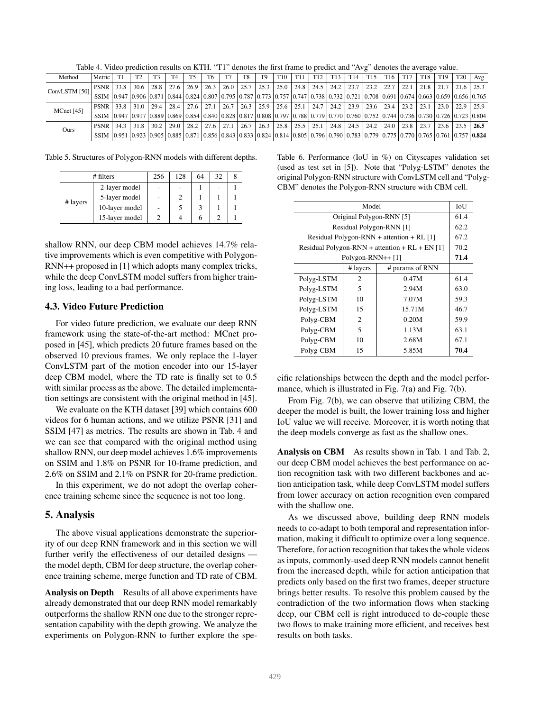Table 4. Video prediction results on KTH. "T1" denotes the first frame to predict and "Avg" denotes the average value.

| Method        | Metric                                                                                                                                                                                                                          |      | T2     | T3   | T <sub>4</sub> | T <sub>5</sub> | T6   | T <sub>7</sub> | T8   | T <sub>9</sub> | T <sub>10</sub> | T <sub>11</sub> | T <sub>12</sub> | T <sub>13</sub> | T <sub>14</sub> | T <sub>15</sub> | T16  | T <sub>17</sub> | T <sub>18</sub> | T <sub>19</sub> | <b>T20</b>    | Avg  |
|---------------|---------------------------------------------------------------------------------------------------------------------------------------------------------------------------------------------------------------------------------|------|--------|------|----------------|----------------|------|----------------|------|----------------|-----------------|-----------------|-----------------|-----------------|-----------------|-----------------|------|-----------------|-----------------|-----------------|---------------|------|
| ConvLSTM [50] | <b>PSNR</b>                                                                                                                                                                                                                     | 33.8 | 30.6   | 28.8 | 27.6           | 26.9           | 26.3 | 26.0           | 25.7 | 125.3          | 25.0            | 24.8            | 24.5            | 24.2            | 23.7            | 23.2            | 22.7 | 22.1            | 21.8            | 21.7            | $21.6$   25.3 |      |
|               | SSIM 0.947 0.906 0.871 0.844 0.824 0.807 0.795 0.787 0.773 0.757 0.747 0.738 0.732 0.721 0.708 0.691 0.663 0.654 0.663 0.659 0.656 0.765                                                                                        |      |        |      |                |                |      |                |      |                |                 |                 |                 |                 |                 |                 |      |                 |                 |                 |               |      |
| MCnet [45]    | <b>PSNR</b>                                                                                                                                                                                                                     | 33.8 | 31 O I | 29.4 | 28.4           | 27.6           | 27.1 | 26.7           | 26.3 | 125.9          | 25.6            | 25.1            | 24.7            | $24.2$   23.9   |                 | 23.6            | 23.4 | 23.2            | 23.1            | 23.0            | $22.9$   25.9 |      |
|               | SSIM  0.947  0.917  0.889  0.869  0.854  0.840  0.828  0.817  0.808   0.797  0.788  0.779  0.760  0.760   0.752   0.744   0.736   0.730   0.726   0.723   0.723   0.804                                                         |      |        |      |                |                |      |                |      |                |                 |                 |                 |                 |                 |                 |      |                 |                 |                 |               |      |
| Ours          | <b>PSNR</b>                                                                                                                                                                                                                     | 34.3 | 31.8   | 30.2 | 29.0           | 28.2           | 27.6 | 27.1           | 26.7 | 26.3           | 25.8            | 25.5            | 25.1            | 24.8            | $24.5$ 1        | 24.2            | 24.0 | 23.8            | 23.7            | 23.6            | 23.5          | 26.5 |
|               | SSIM $(0.95110.92310.90510.88510.87110.85610.84310.83310.82410.81410.80510.79610.79010.78310.77910.77510.77510.76510.76110.75710.82410.81410.80510.82410.81410.80510.79610.79010.78310.77910.77510.77110.82410.81410.80510.796$ |      |        |      |                |                |      |                |      |                |                 |                 |                 |                 |                 |                 |      |                 |                 |                 |               |      |

Table 5. Structures of Polygon-RNN models with different depths.

| # filters |                | 256 | 128 | 64 | 32 |  |
|-----------|----------------|-----|-----|----|----|--|
| # layers  | 2-layer model  |     |     |    |    |  |
|           | 5-layer model  |     |     |    |    |  |
|           | 10-layer model |     |     |    |    |  |
|           | 15-layer model |     |     |    |    |  |

shallow RNN, our deep CBM model achieves 14.7% relative improvements which is even competitive with Polygon-RNN++ proposed in [1] which adopts many complex tricks, while the deep ConvLSTM model suffers from higher training loss, leading to a bad performance.

### 4.3. Video Future Prediction

For video future prediction, we evaluate our deep RNN framework using the state-of-the-art method: MCnet proposed in [45], which predicts 20 future frames based on the observed 10 previous frames. We only replace the 1-layer ConvLSTM part of the motion encoder into our 15-layer deep CBM model, where the TD rate is finally set to 0.5 with similar process as the above. The detailed implementation settings are consistent with the original method in [45].

We evaluate on the KTH dataset [39] which contains 600 videos for 6 human actions, and we utilize PSNR [31] and SSIM [47] as metrics. The results are shown in Tab. 4 and we can see that compared with the original method using shallow RNN, our deep model achieves 1.6% improvements on SSIM and 1.8% on PSNR for 10-frame prediction, and 2.6% on SSIM and 2.1% on PSNR for 20-frame prediction.

In this experiment, we do not adopt the overlap coherence training scheme since the sequence is not too long.

#### 5. Analysis

The above visual applications demonstrate the superiority of our deep RNN framework and in this section we will further verify the effectiveness of our detailed designs the model depth, CBM for deep structure, the overlap coherence training scheme, merge function and TD rate of CBM.

Analysis on Depth Results of all above experiments have already demonstrated that our deep RNN model remarkably outperforms the shallow RNN one due to the stronger representation capability with the depth growing. We analyze the experiments on Polygon-RNN to further explore the spe-

Table 6. Performance (IoU in %) on Cityscapes validation set (used as test set in [5]). Note that "Polyg-LSTM" denotes the original Polygon-RNN structure with ConvLSTM cell and "Polyg-CBM" denotes the Polygon-RNN structure with CBM cell.

| Model                                            |                 |      |  |  |  |  |  |  |  |  |  |  |  |  |
|--------------------------------------------------|-----------------|------|--|--|--|--|--|--|--|--|--|--|--|--|
| Original Polygon-RNN [5]                         |                 |      |  |  |  |  |  |  |  |  |  |  |  |  |
| Residual Polygon-RNN [1]                         |                 |      |  |  |  |  |  |  |  |  |  |  |  |  |
| Residual Polygon-RNN + attention + RL $[1]$      |                 |      |  |  |  |  |  |  |  |  |  |  |  |  |
| Residual Polygon-RNN + attention + $RL + EN [1]$ |                 |      |  |  |  |  |  |  |  |  |  |  |  |  |
| Polygon-RNN++ [1]                                |                 |      |  |  |  |  |  |  |  |  |  |  |  |  |
| # layers                                         | # params of RNN |      |  |  |  |  |  |  |  |  |  |  |  |  |
| 2                                                | 0.47M           | 61.4 |  |  |  |  |  |  |  |  |  |  |  |  |
| 5                                                | 2.94M           | 63.0 |  |  |  |  |  |  |  |  |  |  |  |  |
| 10                                               | 7.07M           | 59.3 |  |  |  |  |  |  |  |  |  |  |  |  |
| 15                                               | 15.71M          | 46.7 |  |  |  |  |  |  |  |  |  |  |  |  |
| 2                                                | 0.20M           | 59.9 |  |  |  |  |  |  |  |  |  |  |  |  |
| 5                                                | 1.13M           | 63.1 |  |  |  |  |  |  |  |  |  |  |  |  |
| 10                                               | 2.68M           | 67.1 |  |  |  |  |  |  |  |  |  |  |  |  |
| 15                                               | 5.85M           | 70.4 |  |  |  |  |  |  |  |  |  |  |  |  |
|                                                  |                 |      |  |  |  |  |  |  |  |  |  |  |  |  |

cific relationships between the depth and the model performance, which is illustrated in Fig. 7(a) and Fig. 7(b).

From Fig. 7(b), we can observe that utilizing CBM, the deeper the model is built, the lower training loss and higher IoU value we will receive. Moreover, it is worth noting that the deep models converge as fast as the shallow ones.

Analysis on CBM As results shown in Tab. 1 and Tab. 2, our deep CBM model achieves the best performance on action recognition task with two different backbones and action anticipation task, while deep ConvLSTM model suffers from lower accuracy on action recognition even compared with the shallow one.

As we discussed above, building deep RNN models needs to co-adapt to both temporal and representation information, making it difficult to optimize over a long sequence. Therefore, for action recognition that takes the whole videos as inputs, commonly-used deep RNN models cannot benefit from the increased depth, while for action anticipation that predicts only based on the first two frames, deeper structure brings better results. To resolve this problem caused by the contradiction of the two information flows when stacking deep, our CBM cell is right introduced to de-couple these two flows to make training more efficient, and receives best results on both tasks.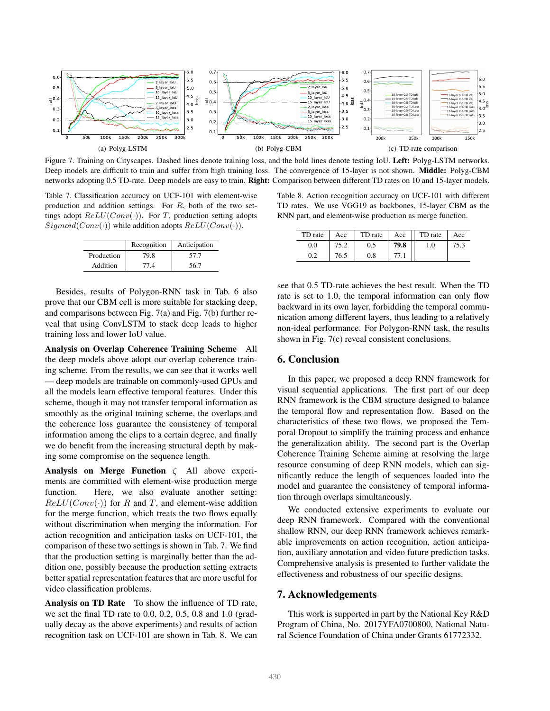

Figure 7. Training on Cityscapes. Dashed lines denote training loss, and the bold lines denote testing IoU. Left: Polyg-LSTM networks. Deep models are difficult to train and suffer from high training loss. The convergence of 15-layer is not shown. Middle: Polyg-CBM networks adopting 0.5 TD-rate. Deep models are easy to train. Right: Comparison between different TD rates on 10 and 15-layer models.

Table 7. Classification accuracy on UCF-101 with element-wise production and addition settings. For  $R$ , both of the two settings adopt  $ReLU(Conv(\cdot))$ . For T, production setting adopts  $Sigmoid(Conv(\cdot))$  while addition adopts  $ReLU(Conv(\cdot))$ .

|            | Recognition | Anticipation |
|------------|-------------|--------------|
| Production | 79.8        | 57.7         |
| Addition   | 77.4        | 56.7         |

Besides, results of Polygon-RNN task in Tab. 6 also prove that our CBM cell is more suitable for stacking deep, and comparisons between Fig. 7(a) and Fig. 7(b) further reveal that using ConvLSTM to stack deep leads to higher training loss and lower IoU value.

Analysis on Overlap Coherence Training Scheme All the deep models above adopt our overlap coherence training scheme. From the results, we can see that it works well — deep models are trainable on commonly-used GPUs and all the models learn effective temporal features. Under this scheme, though it may not transfer temporal information as smoothly as the original training scheme, the overlaps and the coherence loss guarantee the consistency of temporal information among the clips to a certain degree, and finally we do benefit from the increasing structural depth by making some compromise on the sequence length.

Analysis on Merge Function  $\zeta$  All above experiments are committed with element-wise production merge function. Here, we also evaluate another setting:  $ReLU(Conv(\cdot))$  for R and T, and element-wise addition for the merge function, which treats the two flows equally without discrimination when merging the information. For action recognition and anticipation tasks on UCF-101, the comparison of these two settings is shown in Tab. 7. We find that the production setting is marginally better than the addition one, possibly because the production setting extracts better spatial representation features that are more useful for video classification problems.

Analysis on TD Rate To show the influence of TD rate, we set the final TD rate to 0.0, 0.2, 0.5, 0.8 and 1.0 (gradually decay as the above experiments) and results of action recognition task on UCF-101 are shown in Tab. 8. We can

Table 8. Action recognition accuracy on UCF-101 with different TD rates. We use VGG19 as backbones, 15-layer CBM as the RNN part, and element-wise production as merge function.

| TD rate | Acc  | TD rate | Acc  | TD rate | Acc |
|---------|------|---------|------|---------|-----|
| 0.0     |      |         | 79.8 |         |     |
| 0.2     | 76.5 | 0.8     |      |         |     |

see that 0.5 TD-rate achieves the best result. When the TD rate is set to 1.0, the temporal information can only flow backward in its own layer, forbidding the temporal communication among different layers, thus leading to a relatively non-ideal performance. For Polygon-RNN task, the results shown in Fig. 7(c) reveal consistent conclusions.

## 6. Conclusion

In this paper, we proposed a deep RNN framework for visual sequential applications. The first part of our deep RNN framework is the CBM structure designed to balance the temporal flow and representation flow. Based on the characteristics of these two flows, we proposed the Temporal Dropout to simplify the training process and enhance the generalization ability. The second part is the Overlap Coherence Training Scheme aiming at resolving the large resource consuming of deep RNN models, which can significantly reduce the length of sequences loaded into the model and guarantee the consistency of temporal information through overlaps simultaneously.

We conducted extensive experiments to evaluate our deep RNN framework. Compared with the conventional shallow RNN, our deep RNN framework achieves remarkable improvements on action recognition, action anticipation, auxiliary annotation and video future prediction tasks. Comprehensive analysis is presented to further validate the effectiveness and robustness of our specific designs.

### 7. Acknowledgements

This work is supported in part by the National Key R&D Program of China, No. 2017YFA0700800, National Natural Science Foundation of China under Grants 61772332.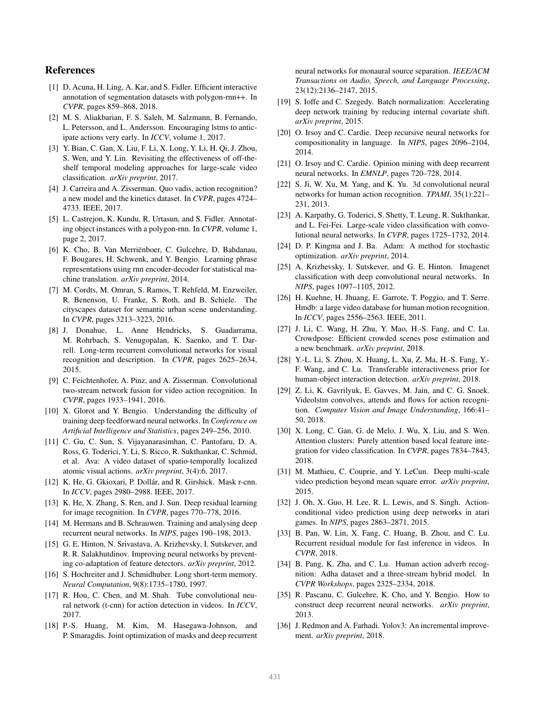### References

- [1] D. Acuna, H. Ling, A. Kar, and S. Fidler. Efficient interactive annotation of segmentation datasets with polygon-rnn++. In *CVPR*, pages 859–868, 2018.
- [2] M. S. Aliakbarian, F. S. Saleh, M. Salzmann, B. Fernando, L. Petersson, and L. Andersson. Encouraging lstms to anticipate actions very early. In *ICCV*, volume 1, 2017.
- [3] Y. Bian, C. Gan, X. Liu, F. Li, X. Long, Y. Li, H. Qi, J. Zhou, S. Wen, and Y. Lin. Revisiting the effectiveness of off-theshelf temporal modeling approaches for large-scale video classification. *arXiv preprint*, 2017.
- [4] J. Carreira and A. Zisserman. Quo vadis, action recognition? a new model and the kinetics dataset. In *CVPR*, pages 4724– 4733. IEEE, 2017.
- [5] L. Castrejon, K. Kundu, R. Urtasun, and S. Fidler. Annotating object instances with a polygon-rnn. In *CVPR*, volume 1, page 2, 2017.
- [6] K. Cho, B. Van Merriënboer, C. Gulcehre, D. Bahdanau, F. Bougares, H. Schwenk, and Y. Bengio. Learning phrase representations using rnn encoder-decoder for statistical machine translation. *arXiv preprint*, 2014.
- [7] M. Cordts, M. Omran, S. Ramos, T. Rehfeld, M. Enzweiler, R. Benenson, U. Franke, S. Roth, and B. Schiele. The cityscapes dataset for semantic urban scene understanding. In *CVPR*, pages 3213–3223, 2016.
- [8] J. Donahue, L. Anne Hendricks, S. Guadarrama, M. Rohrbach, S. Venugopalan, K. Saenko, and T. Darrell. Long-term recurrent convolutional networks for visual recognition and description. In *CVPR*, pages 2625–2634, 2015.
- [9] C. Feichtenhofer, A. Pinz, and A. Zisserman. Convolutional two-stream network fusion for video action recognition. In *CVPR*, pages 1933–1941, 2016.
- [10] X. Glorot and Y. Bengio. Understanding the difficulty of training deep feedforward neural networks. In *Conference on Artificial Intelligence and Statistics*, pages 249–256, 2010.
- [11] C. Gu, C. Sun, S. Vijayanarasimhan, C. Pantofaru, D. A. Ross, G. Toderici, Y. Li, S. Ricco, R. Sukthankar, C. Schmid, et al. Ava: A video dataset of spatio-temporally localized atomic visual actions. *arXiv preprint*, 3(4):6, 2017.
- [12] K. He, G. Gkioxari, P. Dollár, and R. Girshick. Mask r-cnn. In *ICCV*, pages 2980–2988. IEEE, 2017.
- [13] K. He, X. Zhang, S. Ren, and J. Sun. Deep residual learning for image recognition. In *CVPR*, pages 770–778, 2016.
- [14] M. Hermans and B. Schrauwen. Training and analysing deep recurrent neural networks. In *NIPS*, pages 190–198, 2013.
- [15] G. E. Hinton, N. Srivastava, A. Krizhevsky, I. Sutskever, and R. R. Salakhutdinov. Improving neural networks by preventing co-adaptation of feature detectors. *arXiv preprint*, 2012.
- [16] S. Hochreiter and J. Schmidhuber. Long short-term memory. *Neural Computation*, 9(8):1735–1780, 1997.
- [17] R. Hou, C. Chen, and M. Shah. Tube convolutional neural network (t-cnn) for action detection in videos. In *ICCV*, 2017.
- [18] P.-S. Huang, M. Kim, M. Hasegawa-Johnson, and P. Smaragdis. Joint optimization of masks and deep recurrent

neural networks for monaural source separation. *IEEE/ACM Transactions on Audio, Speech, and Language Processing*, 23(12):2136–2147, 2015.

- [19] S. Ioffe and C. Szegedy. Batch normalization: Accelerating deep network training by reducing internal covariate shift. *arXiv preprint*, 2015.
- [20] O. Irsoy and C. Cardie. Deep recursive neural networks for compositionality in language. In *NIPS*, pages 2096–2104, 2014.
- [21] O. Irsoy and C. Cardie. Opinion mining with deep recurrent neural networks. In *EMNLP*, pages 720–728, 2014.
- [22] S. Ji, W. Xu, M. Yang, and K. Yu. 3d convolutional neural networks for human action recognition. *TPAMI*, 35(1):221– 231, 2013.
- [23] A. Karpathy, G. Toderici, S. Shetty, T. Leung, R. Sukthankar, and L. Fei-Fei. Large-scale video classification with convolutional neural networks. In *CVPR*, pages 1725–1732, 2014.
- [24] D. P. Kingma and J. Ba. Adam: A method for stochastic optimization. *arXiv preprint*, 2014.
- [25] A. Krizhevsky, I. Sutskever, and G. E. Hinton. Imagenet classification with deep convolutional neural networks. In *NIPS*, pages 1097–1105, 2012.
- [26] H. Kuehne, H. Jhuang, E. Garrote, T. Poggio, and T. Serre. Hmdb: a large video database for human motion recognition. In *ICCV*, pages 2556–2563. IEEE, 2011.
- [27] J. Li, C. Wang, H. Zhu, Y. Mao, H.-S. Fang, and C. Lu. Crowdpose: Efficient crowded scenes pose estimation and a new benchmark. *arXiv preprint*, 2018.
- [28] Y.-L. Li, S. Zhou, X. Huang, L. Xu, Z. Ma, H.-S. Fang, Y.- F. Wang, and C. Lu. Transferable interactiveness prior for human-object interaction detection. *arXiv preprint*, 2018.
- [29] Z. Li, K. Gavrilyuk, E. Gavves, M. Jain, and C. G. Snoek. Videolstm convolves, attends and flows for action recognition. *Computer Vision and Image Understanding*, 166:41– 50, 2018.
- [30] X. Long, C. Gan, G. de Melo, J. Wu, X. Liu, and S. Wen. Attention clusters: Purely attention based local feature integration for video classification. In *CVPR*, pages 7834–7843, 2018.
- [31] M. Mathieu, C. Couprie, and Y. LeCun. Deep multi-scale video prediction beyond mean square error. *arXiv preprint*, 2015.
- [32] J. Oh, X. Guo, H. Lee, R. L. Lewis, and S. Singh. Actionconditional video prediction using deep networks in atari games. In *NIPS*, pages 2863–2871, 2015.
- [33] B. Pan, W. Lin, X. Fang, C. Huang, B. Zhou, and C. Lu. Recurrent residual module for fast inference in videos. In *CVPR*, 2018.
- [34] B. Pang, K. Zha, and C. Lu. Human action adverb recognition: Adha dataset and a three-stream hybrid model. In *CVPR Workshops*, pages 2325–2334, 2018.
- [35] R. Pascanu, C. Gulcehre, K. Cho, and Y. Bengio. How to construct deep recurrent neural networks. *arXiv preprint*, 2013.
- [36] J. Redmon and A. Farhadi. Yolov3: An incremental improvement. *arXiv preprint*, 2018.